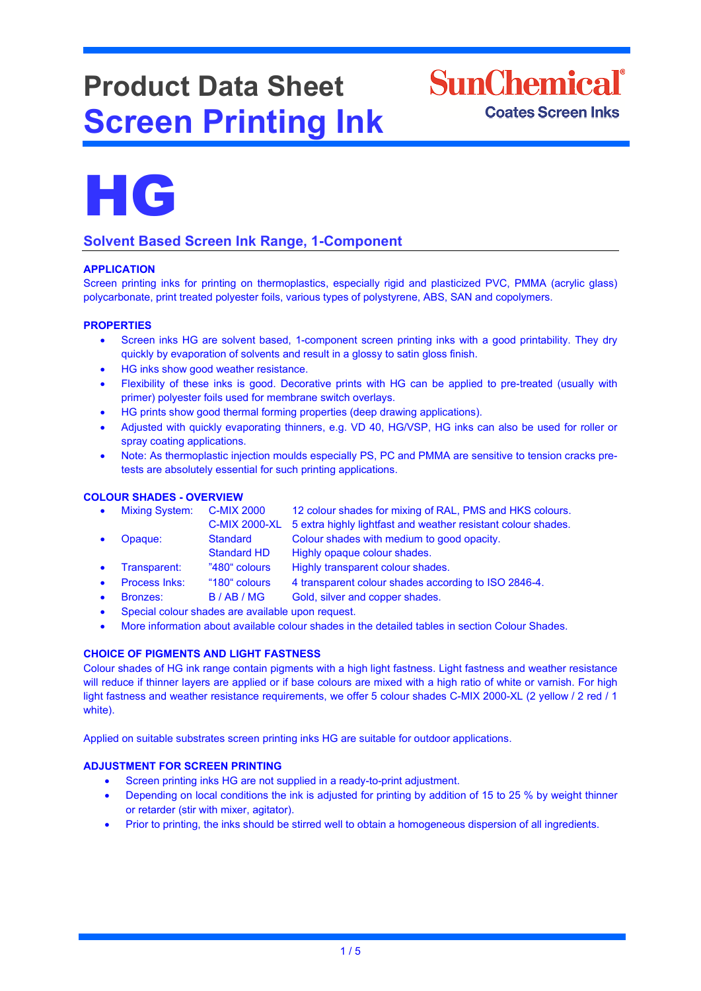# **Product Data Sheet Screen Printing Ink**





## **Solvent Based Screen Ink Range, 1-Component**

### **APPLICATION**

Screen printing inks for printing on thermoplastics, especially rigid and plasticized PVC, PMMA (acrylic glass) polycarbonate, print treated polyester foils, various types of polystyrene, ABS, SAN and copolymers.

#### **PROPERTIES**

- Screen inks HG are solvent based, 1-component screen printing inks with a good printability. They dry quickly by evaporation of solvents and result in a glossy to satin gloss finish.
- HG inks show good weather resistance.
- Flexibility of these inks is good. Decorative prints with HG can be applied to pre-treated (usually with primer) polyester foils used for membrane switch overlays.
- HG prints show good thermal forming properties (deep drawing applications).
- Adjusted with quickly evaporating thinners, e.g. VD 40, HG/VSP, HG inks can also be used for roller or spray coating applications.
- Note: As thermoplastic injection moulds especially PS, PC and PMMA are sensitive to tension cracks pretests are absolutely essential for such printing applications.

#### **COLOUR SHADES - OVERVIEW**

| $\bullet$ | <b>Mixing System:</b> | <b>C-MIX 2000</b>    | 12 colour shades for mixing of RAL, PMS and HKS colours.      |
|-----------|-----------------------|----------------------|---------------------------------------------------------------|
|           |                       | <b>C-MIX 2000-XL</b> | 5 extra highly lightfast and weather resistant colour shades. |
| $\bullet$ | Opaque:               | Standard             | Colour shades with medium to good opacity.                    |
|           |                       | Standard HD          | Highly opaque colour shades.                                  |
| $\bullet$ | Transparent:          | "480" colours        | Highly transparent colour shades.                             |
| $\bullet$ | Process Inks:         | "180" colours        | 4 transparent colour shades according to ISO 2846-4.          |
| $\bullet$ | Bronzes:              | B/AB/MG              | Gold, silver and copper shades.                               |

- Special colour shades are available upon request.
- More information about available colour shades in the detailed tables in section Colour Shades.

### **CHOICE OF PIGMENTS AND LIGHT FASTNESS**

Colour shades of HG ink range contain pigments with a high light fastness. Light fastness and weather resistance will reduce if thinner layers are applied or if base colours are mixed with a high ratio of white or varnish. For high light fastness and weather resistance requirements, we offer 5 colour shades C-MIX 2000-XL (2 yellow / 2 red / 1 white).

Applied on suitable substrates screen printing inks HG are suitable for outdoor applications.

### **ADJUSTMENT FOR SCREEN PRINTING**

- Screen printing inks HG are not supplied in a ready-to-print adjustment.
- Depending on local conditions the ink is adjusted for printing by addition of 15 to 25 % by weight thinner or retarder (stir with mixer, agitator).
- Prior to printing, the inks should be stirred well to obtain a homogeneous dispersion of all ingredients.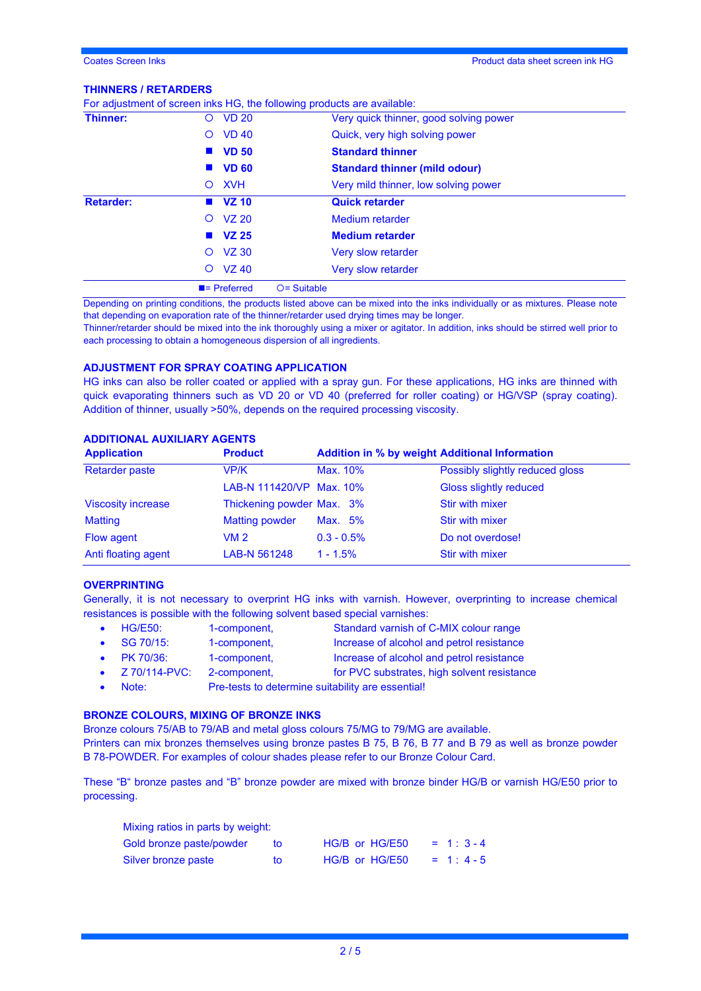#### **THINNERS / RETARDERS**

|                  |                          | For adjustment of screen inks HG, the following products are available: |
|------------------|--------------------------|-------------------------------------------------------------------------|
| Thinner:         | <b>VD 20</b><br>O        | Very quick thinner, good solving power                                  |
|                  | <b>VD 40</b><br>$\circ$  | Quick, very high solving power                                          |
|                  | $\blacksquare$ VD 50     | <b>Standard thinner</b>                                                 |
|                  | <b>VD 60</b>             | <b>Standard thinner (mild odour)</b>                                    |
|                  | <b>XVH</b><br>$\circ$    | Very mild thinner, low solving power                                    |
| <b>Retarder:</b> | $\blacksquare$ VZ 10     | <b>Quick retarder</b>                                                   |
|                  | $O$ VZ 20                | Medium retarder                                                         |
|                  | $N = 25$                 | <b>Medium retarder</b>                                                  |
|                  | <b>VZ 30</b><br>O        | Very slow retarder                                                      |
|                  | <b>VZ 40</b><br>$\circ$  | Very slow retarder                                                      |
|                  | $\blacksquare$ Preferred | $O =$ Suitable                                                          |

Depending on printing conditions, the products listed above can be mixed into the inks individually or as mixtures. Please note that depending on evaporation rate of the thinner/retarder used drying times may be longer.

Thinner/retarder should be mixed into the ink thoroughly using a mixer or agitator. In addition, inks should be stirred well prior to each processing to obtain a homogeneous dispersion of all ingredients.

#### **ADJUSTMENT FOR SPRAY COATING APPLICATION**

HG inks can also be roller coated or applied with a spray gun. For these applications, HG inks are thinned with quick evaporating thinners such as VD 20 or VD 40 (preferred for roller coating) or HG/VSP (spray coating). Addition of thinner, usually >50%, depends on the required processing viscosity.

#### **ADDITIONAL AUXILIARY AGENTS**

| <b>Application</b>        | <b>Product</b>            |               | <b>Addition in % by weight Additional Information</b> |
|---------------------------|---------------------------|---------------|-------------------------------------------------------|
| <b>Retarder paste</b>     | VP/K                      | Max. 10%      | Possibly slightly reduced gloss                       |
|                           | LAB-N 111420/VP Max. 10%  |               | Gloss slightly reduced                                |
| <b>Viscosity increase</b> | Thickening powder Max. 3% |               | Stir with mixer                                       |
| <b>Matting</b>            | <b>Matting powder</b>     | Max. 5%       | Stir with mixer                                       |
| Flow agent                | VM 2                      | $0.3 - 0.5\%$ | Do not overdose!                                      |
| Anti floating agent       | LAB-N 561248              | $1 - 1.5%$    | Stir with mixer                                       |

#### **OVERPRINTING**

Generally, it is not necessary to overprint HG inks with varnish. However, overprinting to increase chemical resistances is possible with the following solvent based special varnishes:

|           | $\bullet$ HG/E50:   | 1-component,                                      | Standard varnish of C-MIX colour range      |  |
|-----------|---------------------|---------------------------------------------------|---------------------------------------------|--|
|           | $\bullet$ SG 70/15: | 1-component.                                      | Increase of alcohol and petrol resistance   |  |
|           | • $PK 70/36$ :      | 1-component,                                      | Increase of alcohol and petrol resistance   |  |
|           | • $Z$ 70/114-PVC:   | 2-component,                                      | for PVC substrates, high solvent resistance |  |
| $\bullet$ | Note:               | Pre-tests to determine suitability are essential! |                                             |  |

# **BRONZE COLOURS, MIXING OF BRONZE INKS**

Bronze colours 75/AB to 79/AB and metal gloss colours 75/MG to 79/MG are available.

Printers can mix bronzes themselves using bronze pastes B 75, B 76, B 77 and B 79 as well as bronze powder B 78-POWDER. For examples of colour shades please refer to our Bronze Colour Card.

These "B" bronze pastes and "B" bronze powder are mixed with bronze binder HG/B or varnish HG/E50 prior to processing.

| Mixing ratios in parts by weight: |     |                |             |
|-----------------------------------|-----|----------------|-------------|
| Gold bronze paste/powder          | tΩ  | HG/B or HG/E50 | $= 1:3 - 4$ |
| Silver bronze paste               | to. | HG/B or HG/E50 | $= 1: 4-5$  |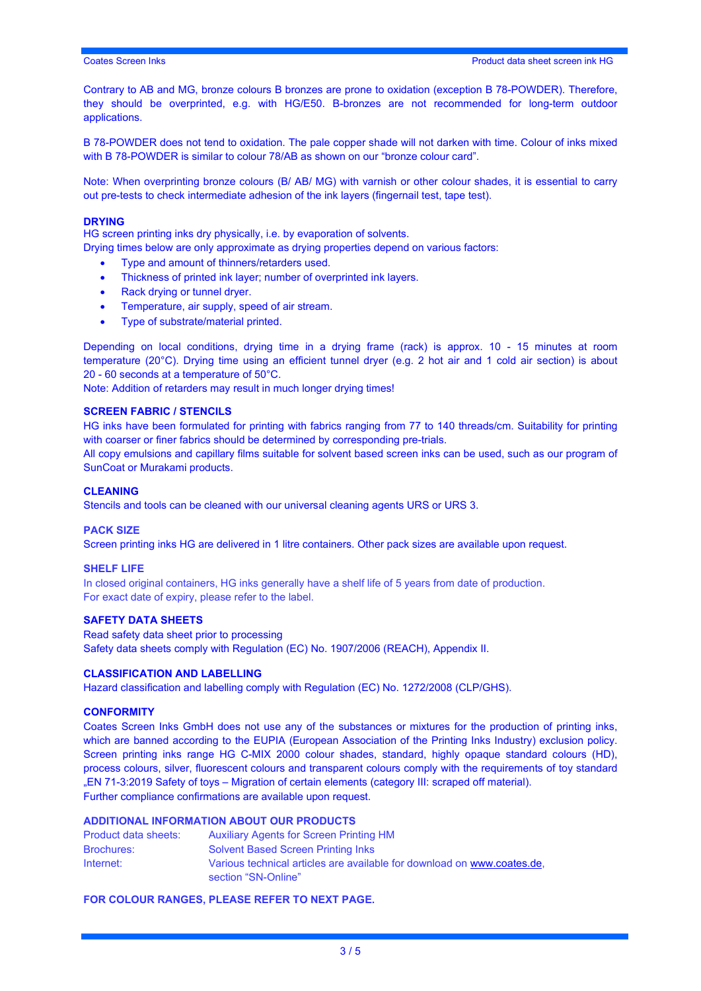Contrary to AB and MG, bronze colours B bronzes are prone to oxidation (exception B 78-POWDER). Therefore, they should be overprinted, e.g. with HG/E50. B-bronzes are not recommended for long-term outdoor applications.

B 78-POWDER does not tend to oxidation. The pale copper shade will not darken with time. Colour of inks mixed with B 78-POWDER is similar to colour 78/AB as shown on our "bronze colour card".

Note: When overprinting bronze colours (B/ AB/ MG) with varnish or other colour shades, it is essential to carry out pre-tests to check intermediate adhesion of the ink layers (fingernail test, tape test).

#### **DRYING**

HG screen printing inks dry physically, i.e. by evaporation of solvents.

Drying times below are only approximate as drying properties depend on various factors:

- Type and amount of thinners/retarders used.
- Thickness of printed ink layer; number of overprinted ink layers.
- Rack drying or tunnel dryer.
- Temperature, air supply, speed of air stream.
- Type of substrate/material printed.

Depending on local conditions, drying time in a drying frame (rack) is approx. 10 - 15 minutes at room temperature (20°C). Drying time using an efficient tunnel dryer (e.g. 2 hot air and 1 cold air section) is about 20 - 60 seconds at a temperature of 50°C.

Note: Addition of retarders may result in much longer drying times!

#### **SCREEN FABRIC / STENCILS**

HG inks have been formulated for printing with fabrics ranging from 77 to 140 threads/cm. Suitability for printing with coarser or finer fabrics should be determined by corresponding pre-trials.

All copy emulsions and capillary films suitable for solvent based screen inks can be used, such as our program of SunCoat or Murakami products.

#### **CLEANING**

Stencils and tools can be cleaned with our universal cleaning agents URS or URS 3.

#### **PACK SIZE**

Screen printing inks HG are delivered in 1 litre containers. Other pack sizes are available upon request.

#### **SHELF LIFE**

In closed original containers, HG inks generally have a shelf life of 5 years from date of production. For exact date of expiry, please refer to the label.

#### **SAFETY DATA SHEETS**

Read safety data sheet prior to processing Safety data sheets comply with Regulation (EC) No. 1907/2006 (REACH), Appendix II.

#### **CLASSIFICATION AND LABELLING**

Hazard classification and labelling comply with Regulation (EC) No. 1272/2008 (CLP/GHS).

#### **CONFORMITY**

Coates Screen Inks GmbH does not use any of the substances or mixtures for the production of printing inks, which are banned according to the EUPIA (European Association of the Printing Inks Industry) exclusion policy. Screen printing inks range HG C-MIX 2000 colour shades, standard, highly opaque standard colours (HD), process colours, silver, fluorescent colours and transparent colours comply with the requirements of toy standard "EN 71-3:2019 Safety of toys – Migration of certain elements (category III: scraped off material). Further compliance confirmations are available upon request.

#### **ADDITIONAL INFORMATION ABOUT OUR PRODUCTS**

| Product data sheets: | <b>Auxiliary Agents for Screen Printing HM</b>                                                 |
|----------------------|------------------------------------------------------------------------------------------------|
| <b>Brochures:</b>    | <b>Solvent Based Screen Printing Inks</b>                                                      |
| Internet:            | Various technical articles are available for download on www.coates.de.<br>section "SN-Online" |

#### **FOR COLOUR RANGES, PLEASE REFER TO NEXT PAGE.**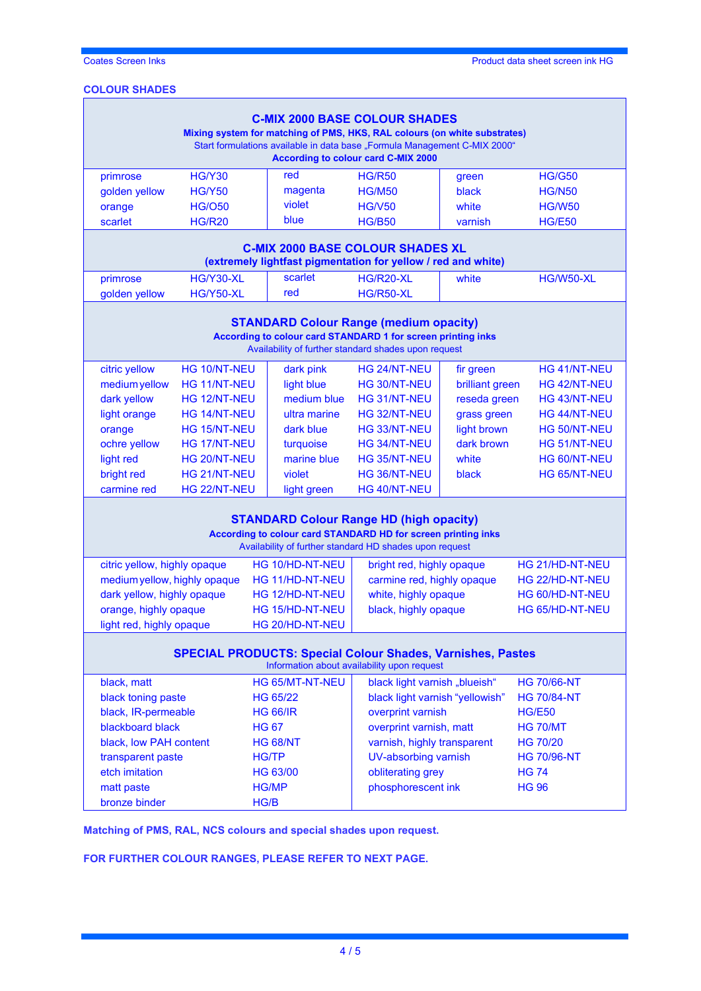# **COLOUR SHADES**

| <b>C-MIX 2000 BASE COLOUR SHADES</b><br>Mixing system for matching of PMS, HKS, RAL colours (on white substrates)<br>Start formulations available in data base "Formula Management C-MIX 2000"<br><b>According to colour card C-MIX 2000</b> |                                       |                 |                                                                                                                                                                       |                 |                    |
|----------------------------------------------------------------------------------------------------------------------------------------------------------------------------------------------------------------------------------------------|---------------------------------------|-----------------|-----------------------------------------------------------------------------------------------------------------------------------------------------------------------|-----------------|--------------------|
| primrose                                                                                                                                                                                                                                     | <b>HG/Y30</b>                         | red             | <b>HG/R50</b>                                                                                                                                                         | green           | <b>HG/G50</b>      |
| golden yellow                                                                                                                                                                                                                                | <b>HG/Y50</b>                         | magenta         | <b>HG/M50</b>                                                                                                                                                         | black           | <b>HG/N50</b>      |
| orange                                                                                                                                                                                                                                       | <b>HG/O50</b>                         | violet          | <b>HG/V50</b>                                                                                                                                                         | white           | <b>HG/W50</b>      |
| scarlet                                                                                                                                                                                                                                      | <b>HG/R20</b>                         | blue            | <b>HG/B50</b>                                                                                                                                                         | varnish         | <b>HG/E50</b>      |
|                                                                                                                                                                                                                                              |                                       |                 | <b>C-MIX 2000 BASE COLOUR SHADES XL</b><br>(extremely lightfast pigmentation for yellow / red and white)                                                              |                 |                    |
| primrose                                                                                                                                                                                                                                     | HG/Y30-XL                             | scarlet         | <b>HG/R20-XL</b>                                                                                                                                                      | white           | <b>HG/W50-XL</b>   |
| golden yellow                                                                                                                                                                                                                                | <b>HG/Y50-XL</b>                      | red             | <b>HG/R50-XL</b>                                                                                                                                                      |                 |                    |
|                                                                                                                                                                                                                                              |                                       |                 | <b>STANDARD Colour Range (medium opacity)</b><br>According to colour card STANDARD 1 for screen printing inks<br>Availability of further standard shades upon request |                 |                    |
| citric yellow                                                                                                                                                                                                                                | HG 10/NT-NEU                          | dark pink       | HG 24/NT-NEU                                                                                                                                                          | fir green       | HG 41/NT-NEU       |
| medium yellow                                                                                                                                                                                                                                | <b>HG 11/NT-NEU</b>                   | light blue      | HG 30/NT-NEU                                                                                                                                                          | brilliant green | HG 42/NT-NEU       |
| dark yellow                                                                                                                                                                                                                                  | HG 12/NT-NEU                          | medium blue     | HG 31/NT-NEU                                                                                                                                                          | reseda green    | HG 43/NT-NEU       |
| light orange                                                                                                                                                                                                                                 | HG 14/NT-NEU                          | ultra marine    | HG 32/NT-NEU                                                                                                                                                          | grass green     | HG 44/NT-NEU       |
| orange                                                                                                                                                                                                                                       | HG 15/NT-NEU                          | dark blue       | HG 33/NT-NEU                                                                                                                                                          | light brown     | HG 50/NT-NEU       |
| ochre yellow                                                                                                                                                                                                                                 | HG 17/NT-NEU                          | turquoise       | HG 34/NT-NEU                                                                                                                                                          | dark brown      | HG 51/NT-NEU       |
| light red                                                                                                                                                                                                                                    | HG 20/NT-NEU                          | marine blue     | HG 35/NT-NEU                                                                                                                                                          | white           | HG 60/NT-NEU       |
| bright red                                                                                                                                                                                                                                   | HG 21/NT-NEU                          | violet          | HG 36/NT-NEU                                                                                                                                                          | black           | HG 65/NT-NEU       |
| carmine red                                                                                                                                                                                                                                  | HG 22/NT-NEU                          | light green     | HG 40/NT-NEU                                                                                                                                                          |                 |                    |
| <b>STANDARD Colour Range HD (high opacity)</b><br>According to colour card STANDARD HD for screen printing inks<br>Availability of further standard HD shades upon request                                                                   |                                       |                 |                                                                                                                                                                       |                 |                    |
| citric yellow, highly opaque                                                                                                                                                                                                                 |                                       | HG 10/HD-NT-NEU | bright red, highly opaque                                                                                                                                             |                 | HG 21/HD-NT-NEU    |
| medium yellow, highly opaque                                                                                                                                                                                                                 |                                       | HG 11/HD-NT-NEU | carmine red, highly opaque                                                                                                                                            |                 | HG 22/HD-NT-NEU    |
| dark yellow, highly opaque                                                                                                                                                                                                                   |                                       | HG 12/HD-NT-NEU | white, highly opaque                                                                                                                                                  |                 | HG 60/HD-NT-NEU    |
| orange, highly opaque                                                                                                                                                                                                                        |                                       | HG 15/HD-NT-NEU | black, highly opaque                                                                                                                                                  |                 | HG 65/HD-NT-NEU    |
| light red, highly opaque                                                                                                                                                                                                                     |                                       | HG 20/HD-NT-NEU |                                                                                                                                                                       |                 |                    |
| <b>SPECIAL PRODUCTS: Special Colour Shades, Varnishes, Pastes</b><br>Information about availability upon request                                                                                                                             |                                       |                 |                                                                                                                                                                       |                 |                    |
| black, matt                                                                                                                                                                                                                                  |                                       | HG 65/MT-NT-NEU | black light varnish "blueish"                                                                                                                                         |                 | <b>HG 70/66-NT</b> |
|                                                                                                                                                                                                                                              | black toning paste<br><b>HG 65/22</b> |                 | black light varnish "yellowish"                                                                                                                                       |                 | <b>HG 70/84-NT</b> |
| black, IR-permeable                                                                                                                                                                                                                          |                                       | <b>HG 66/IR</b> | overprint varnish                                                                                                                                                     |                 | <b>HG/E50</b>      |
| blackboard black                                                                                                                                                                                                                             |                                       | <b>HG 67</b>    | overprint varnish, matt                                                                                                                                               |                 | <b>HG 70/MT</b>    |
| black, low PAH content                                                                                                                                                                                                                       |                                       | <b>HG 68/NT</b> | varnish, highly transparent                                                                                                                                           |                 | <b>HG 70/20</b>    |
| transparent paste                                                                                                                                                                                                                            |                                       | <b>HG/TP</b>    | <b>UV-absorbing varnish</b>                                                                                                                                           |                 | <b>HG 70/96-NT</b> |
| etch imitation                                                                                                                                                                                                                               |                                       | HG 63/00        | obliterating grey                                                                                                                                                     |                 | <b>HG 74</b>       |
| matt paste<br><b>HG/MP</b>                                                                                                                                                                                                                   |                                       |                 | phosphorescent ink                                                                                                                                                    |                 | <b>HG 96</b>       |
| bronze binder<br>HG/B                                                                                                                                                                                                                        |                                       |                 |                                                                                                                                                                       |                 |                    |

**Matching of PMS, RAL, NCS colours and special shades upon request.** 

**FOR FURTHER COLOUR RANGES, PLEASE REFER TO NEXT PAGE.**